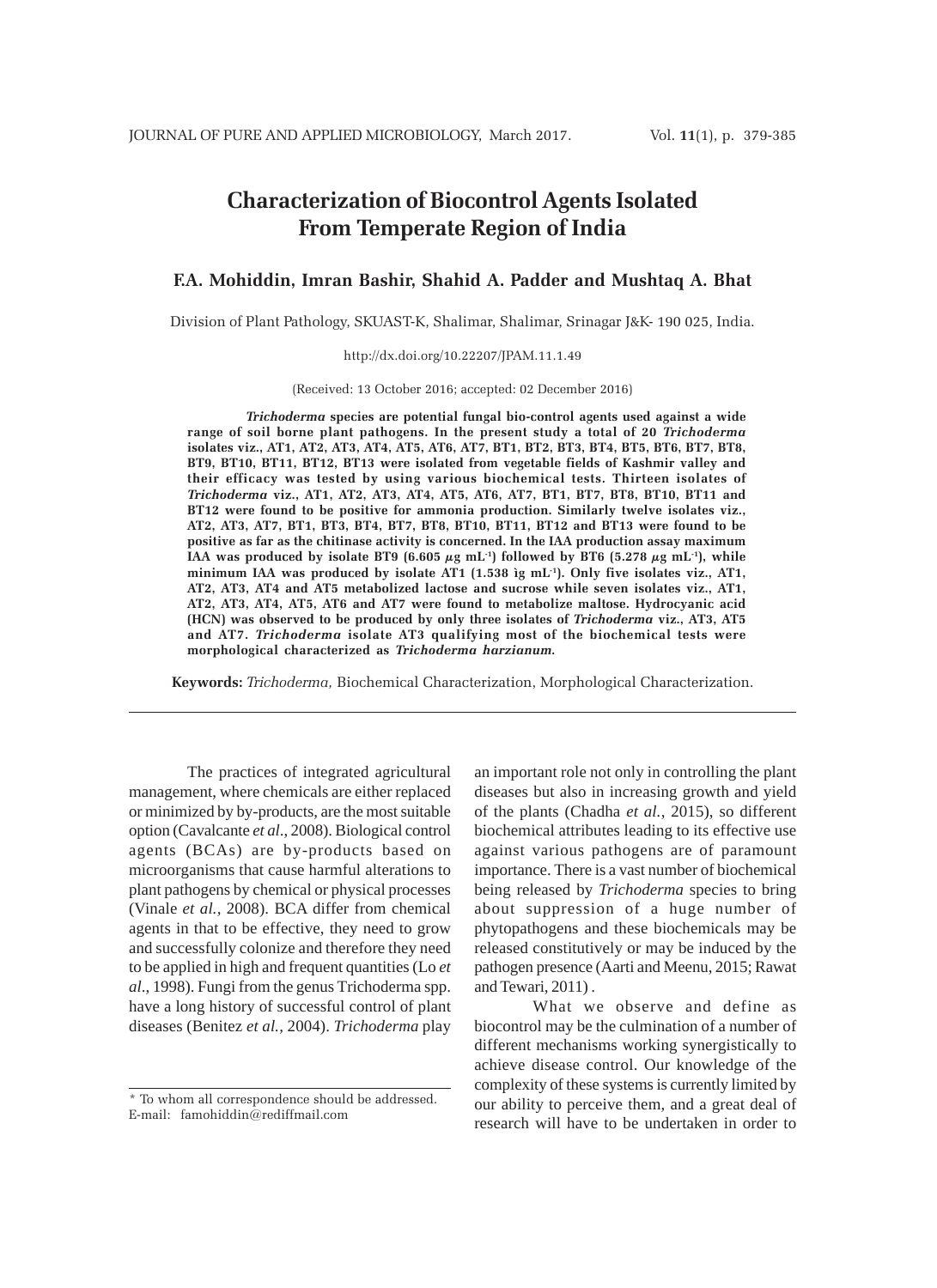# **Characterization of Biocontrol Agents Isolated From Temperate Region of India**

# **F.A. Mohiddin, Imran Bashir, Shahid A. Padder and Mushtaq A. Bhat**

Division of Plant Pathology, SKUAST-K, Shalimar, Shalimar, Srinagar J&K- 190 025, India.

#### http://dx.doi.org/10.22207/JPAM.11.1.49

(Received: 13 October 2016; accepted: 02 December 2016)

*Trichoderma* **species are potential fungal bio-control agents used against a wide range of soil borne plant pathogens. In the present study a total of 20** *Trichoderma* **isolates viz., AT1, AT2, AT3, AT4, AT5, AT6, AT7, BT1, BT2, BT3, BT4, BT5, BT6, BT7, BT8, BT9, BT10, BT11, BT12, BT13 were isolated from vegetable fields of Kashmir valley and their efficacy was tested by using various biochemical tests. Thirteen isolates of** *Trichoderma* **viz., AT1, AT2, AT3, AT4, AT5, AT6, AT7, BT1, BT7, BT8, BT10, BT11 and BT12 were found to be positive for ammonia production. Similarly twelve isolates viz., AT2, AT3, AT7, BT1, BT3, BT4, BT7, BT8, BT10, BT11, BT12 and BT13 were found to be positive as far as the chitinase activity is concerned. In the IAA production assay maximum** IAA was produced by isolate BT9 (6.605  $\mu$ g mL<sup>-1</sup>) followed by BT6 (5.278  $\mu$ g mL<sup>-1</sup>), while **minimum IAA was produced by isolate AT1 (1.538 ìg mL-1). Only five isolates viz., AT1, AT2, AT3, AT4 and AT5 metabolized lactose and sucrose while seven isolates viz., AT1, AT2, AT3, AT4, AT5, AT6 and AT7 were found to metabolize maltose. Hydrocyanic acid (HCN) was observed to be produced by only three isolates of** *Trichoderma* **viz., AT3, AT5 and AT7.** *Trichoderma* **isolate AT3 qualifying most of the biochemical tests were morphological characterized as** *Trichoderma harzianum.*

**Keywords:** *Trichoderma,* Biochemical Characterization, Morphological Characterization.

The practices of integrated agricultural management, where chemicals are either replaced or minimized by by-products, are the most suitable option (Cavalcante *et al*., 2008). Biological control agents (BCAs) are by-products based on microorganisms that cause harmful alterations to plant pathogens by chemical or physical processes (Vinale *et al.,* 2008). BCA differ from chemical agents in that to be effective, they need to grow and successfully colonize and therefore they need to be applied in high and frequent quantities (Lo *et al*., 1998). Fungi from the genus Trichoderma spp. have a long history of successful control of plant diseases (Benitez *et al.,* 2004). *Trichoderma* play

an important role not only in controlling the plant diseases but also in increasing growth and yield of the plants (Chadha *et al.*, 2015), so different biochemical attributes leading to its effective use against various pathogens are of paramount importance. There is a vast number of biochemical being released by *Trichoderma* species to bring about suppression of a huge number of phytopathogens and these biochemicals may be released constitutively or may be induced by the pathogen presence (Aarti and Meenu, 2015; Rawat and Tewari, 2011) .

What we observe and define as biocontrol may be the culmination of a number of different mechanisms working synergistically to achieve disease control. Our knowledge of the complexity of these systems is currently limited by our ability to perceive them, and a great deal of research will have to be undertaken in order to

<sup>\*</sup> To whom all correspondence should be addressed. E-mail: famohiddin@rediffmail.com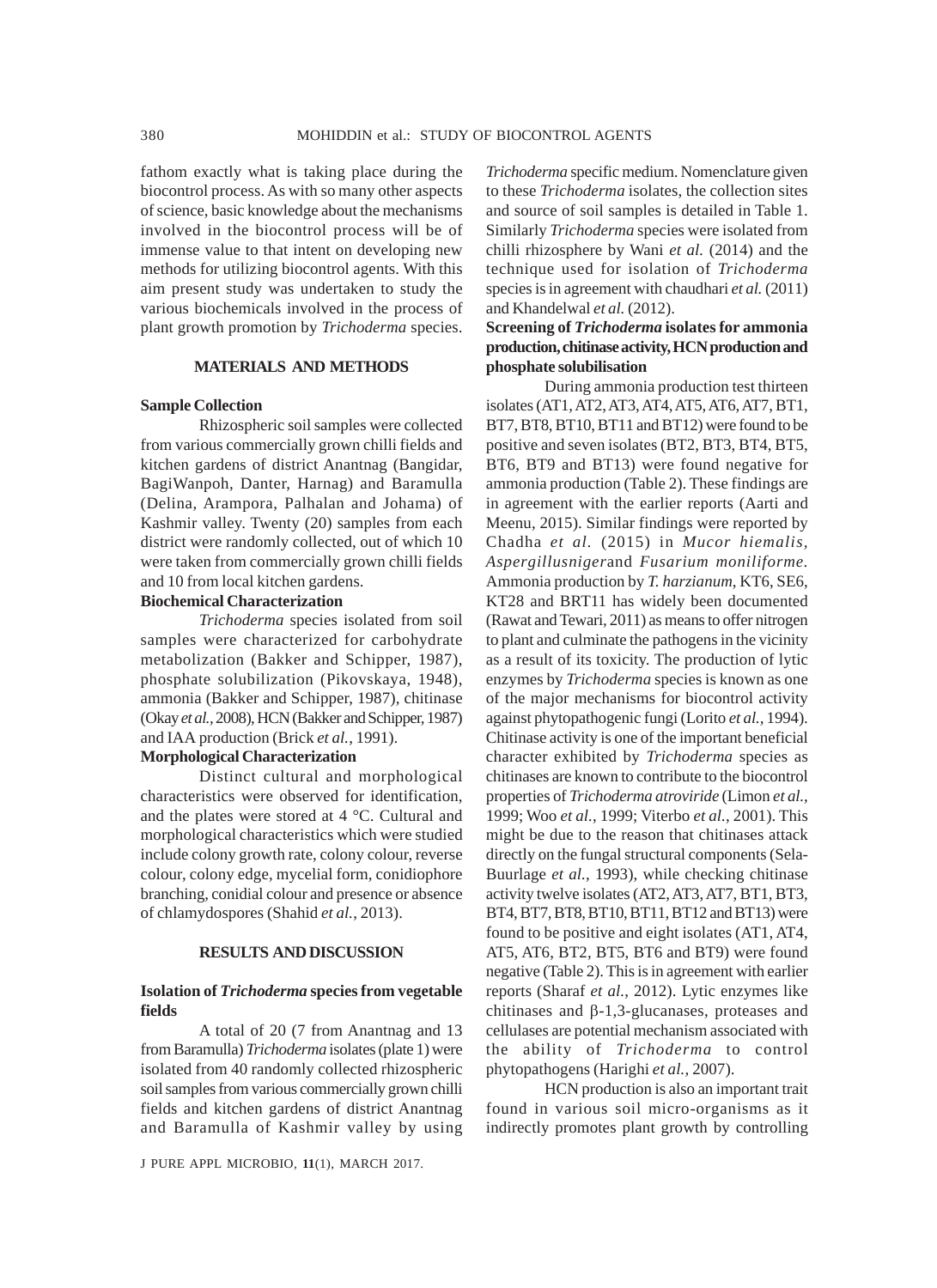fathom exactly what is taking place during the biocontrol process. As with so many other aspects of science, basic knowledge about the mechanisms involved in the biocontrol process will be of immense value to that intent on developing new methods for utilizing biocontrol agents. With this aim present study was undertaken to study the various biochemicals involved in the process of plant growth promotion by *Trichoderma* species.

### **MATERIALS AND METHODS**

#### **Sample Collection**

Rhizospheric soil samples were collected from various commercially grown chilli fields and kitchen gardens of district Anantnag (Bangidar, BagiWanpoh, Danter, Harnag) and Baramulla (Delina, Arampora, Palhalan and Johama) of Kashmir valley. Twenty (20) samples from each district were randomly collected, out of which 10 were taken from commercially grown chilli fields and 10 from local kitchen gardens.

#### **Biochemical Characterization**

*Trichoderma* species isolated from soil samples were characterized for carbohydrate metabolization (Bakker and Schipper, 1987), phosphate solubilization (Pikovskaya, 1948), ammonia (Bakker and Schipper, 1987), chitinase (Okay *et al.,* 2008), HCN (Bakker and Schipper, 1987) and IAA production (Brick *et al.*, 1991).

#### **Morphological Characterization**

Distinct cultural and morphological characteristics were observed for identification, and the plates were stored at 4 °C. Cultural and morphological characteristics which were studied include colony growth rate, colony colour, reverse colour, colony edge, mycelial form, conidiophore branching, conidial colour and presence or absence of chlamydospores (Shahid *et al.*, 2013).

#### **RESULTS AND DISCUSSION**

#### **Isolation of** *Trichoderma* **species from vegetable fields**

A total of 20 (7 from Anantnag and 13 from Baramulla) *Trichoderma* isolates (plate 1) were isolated from 40 randomly collected rhizospheric soil samples from various commercially grown chilli fields and kitchen gardens of district Anantnag and Baramulla of Kashmir valley by using

J PURE APPL MICROBIO*,* **11**(1), MARCH 2017.

*Trichoderma* specific medium. Nomenclature given to these *Trichoderma* isolates, the collection sites and source of soil samples is detailed in Table 1. Similarly *Trichoderma* species were isolated from chilli rhizosphere by Wani *et al.* (2014) and the technique used for isolation of *Trichoderma* species is in agreement with chaudhari *et al.* (2011) and Khandelwal *et al.* (2012).

### **Screening of** *Trichoderma* **isolates for ammonia production, chitinase activity, HCN production and phosphate solubilisation**

During ammonia production test thirteen isolates (AT1, AT2, AT3, AT4, AT5, AT6, AT7, BT1, BT7, BT8, BT10, BT11 and BT12) were found to be positive and seven isolates (BT2, BT3, BT4, BT5, BT6, BT9 and BT13) were found negative for ammonia production (Table 2). These findings are in agreement with the earlier reports (Aarti and Meenu, 2015). Similar findings were reported by Chadha *et al.* (2015) in *Mucor hiemalis, Aspergillusniger*and *Fusarium moniliforme.* Ammonia production by *T. harzianum*, KT6, SE6, KT28 and BRT11 has widely been documented (Rawat and Tewari, 2011) as means to offer nitrogen to plant and culminate the pathogens in the vicinity as a result of its toxicity. The production of lytic enzymes by *Trichoderma* species is known as one of the major mechanisms for biocontrol activity against phytopathogenic fungi (Lorito *et al.,* 1994). Chitinase activity is one of the important beneficial character exhibited by *Trichoderma* species as chitinases are known to contribute to the biocontrol properties of *Trichoderma atroviride* (Limon *et al.*, 1999; Woo *et al.*, 1999; Viterbo *et al.*, 2001). This might be due to the reason that chitinases attack directly on the fungal structural components (Sela-Buurlage *et al.*, 1993), while checking chitinase activity twelve isolates (AT2, AT3, AT7, BT1, BT3, BT4, BT7, BT8, BT10, BT11, BT12 and BT13) were found to be positive and eight isolates (AT1, AT4, AT5, AT6, BT2, BT5, BT6 and BT9) were found negative (Table 2). This is in agreement with earlier reports (Sharaf *et al.*, 2012). Lytic enzymes like chitinases and β-1,3-glucanases, proteases and cellulases are potential mechanism associated with the ability of *Trichoderma* to control phytopathogens (Harighi *et al.,* 2007).

HCN production is also an important trait found in various soil micro-organisms as it indirectly promotes plant growth by controlling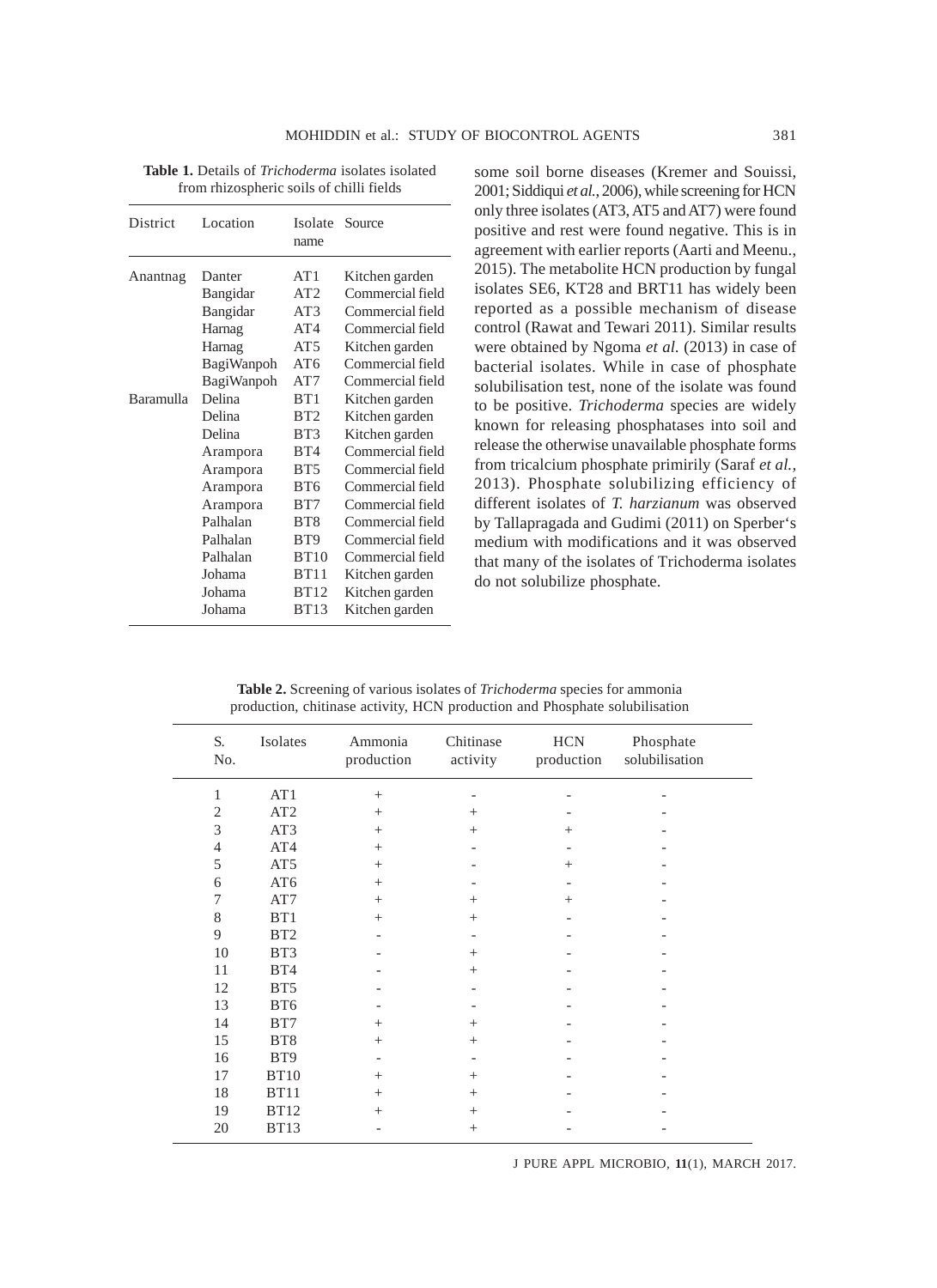| District  | Location   | Isolate<br>name | Source           |
|-----------|------------|-----------------|------------------|
| Anantnag  | Danter     | AT1             | Kitchen garden   |
|           | Bangidar   | AT2             | Commercial field |
|           | Bangidar   | AT3             | Commercial field |
|           | Harnag     | AT4             | Commercial field |
|           | Harnag     | AT5             | Kitchen garden   |
|           | BagiWanpoh | AT6             | Commercial field |
|           | BagiWanpoh | AT7             | Commercial field |
| Baramulla | Delina     | RT1             | Kitchen garden   |
|           | Delina     | BT2             | Kitchen garden   |
|           | Delina     | BT3             | Kitchen garden   |
|           | Arampora   | BT4             | Commercial field |
|           | Arampora   | BT5             | Commercial field |
|           | Arampora   | BT6             | Commercial field |
|           | Arampora   | BT7             | Commercial field |
|           | Palhalan   | BT <sub>8</sub> | Commercial field |
|           | Palhalan   | BT <sub>9</sub> | Commercial field |
|           | Palhalan   | BT10            | Commercial field |
|           | Johama     | BT11            | Kitchen garden   |
|           | Johama     | <b>BT12</b>     | Kitchen garden   |
|           | Johama     | BT13            | Kitchen garden   |

**Table 1.** Details of *Trichoderma* isolates isolated from rhizospheric soils of chilli fields

some soil borne diseases (Kremer and Souissi, 2001; Siddiqui *et al.*, 2006), while screening for HCN only three isolates (AT3, AT5 and AT7) were found positive and rest were found negative. This is in agreement with earlier reports (Aarti and Meenu., 2015). The metabolite HCN production by fungal isolates SE6, KT28 and BRT11 has widely been reported as a possible mechanism of disease control (Rawat and Tewari 2011). Similar results were obtained by Ngoma *et al.* (2013) in case of bacterial isolates. While in case of phosphate solubilisation test, none of the isolate was found to be positive. *Trichoderma* species are widely known for releasing phosphatases into soil and release the otherwise unavailable phosphate forms from tricalcium phosphate primirily (Saraf *et al.,* 2013). Phosphate solubilizing efficiency of different isolates of *T. harzianum* was observed by Tallapragada and Gudimi (2011) on Sperber's medium with modifications and it was observed that many of the isolates of Trichoderma isolates do not solubilize phosphate.

| S.<br>No.      | Isolates        | Ammonia<br>production | Chitinase<br>activity | $\rm HCN$<br>production | Phosphate<br>solubilisation |
|----------------|-----------------|-----------------------|-----------------------|-------------------------|-----------------------------|
| 1              | AT1             | $+$                   |                       |                         |                             |
| $\overline{2}$ | AT2             | $^{+}$                | $\! + \!\!\!\!$       |                         |                             |
| 3              | AT3             | $^{+}$                | $+$                   | $^{+}$                  |                             |
| $\overline{4}$ | AT4             | $+$                   |                       |                         |                             |
| 5              | AT <sub>5</sub> | $^{+}$                |                       | $^{+}$                  |                             |
| 6              | AT6             | $+$                   |                       |                         |                             |
| 7              | AT7             | $^{+}$                | $+$                   | $^{+}$                  |                             |
| $8\,$          | BT1             | $+$                   | $^{+}$                |                         |                             |
| 9              | BT <sub>2</sub> |                       |                       |                         |                             |
| 10             | BT3             |                       | $+$                   |                         |                             |
| 11             | BT4             |                       | $+$                   |                         |                             |
| 12             | BT5             |                       |                       |                         |                             |
| 13             | BT6             |                       |                       |                         |                             |
| 14             | BT7             | $^{+}$                | $+$                   |                         |                             |
| 15             | BT <sub>8</sub> | $^{+}$                | $+$                   |                         |                             |
| 16             | BT <sub>9</sub> |                       |                       |                         |                             |
| 17             | <b>BT10</b>     | $+$                   | $+$                   |                         |                             |
| 18             | <b>BT11</b>     | $^{+}$                | $+$                   |                         |                             |
| 19             | <b>BT12</b>     | $^{+}$                | $+$                   |                         |                             |
| 20             | <b>BT13</b>     |                       | $+$                   |                         |                             |

**Table 2.** Screening of various isolates of *Trichoderma* species for ammonia production, chitinase activity, HCN production and Phosphate solubilisation

J PURE APPL MICROBIO*,* **11**(1), MARCH 2017.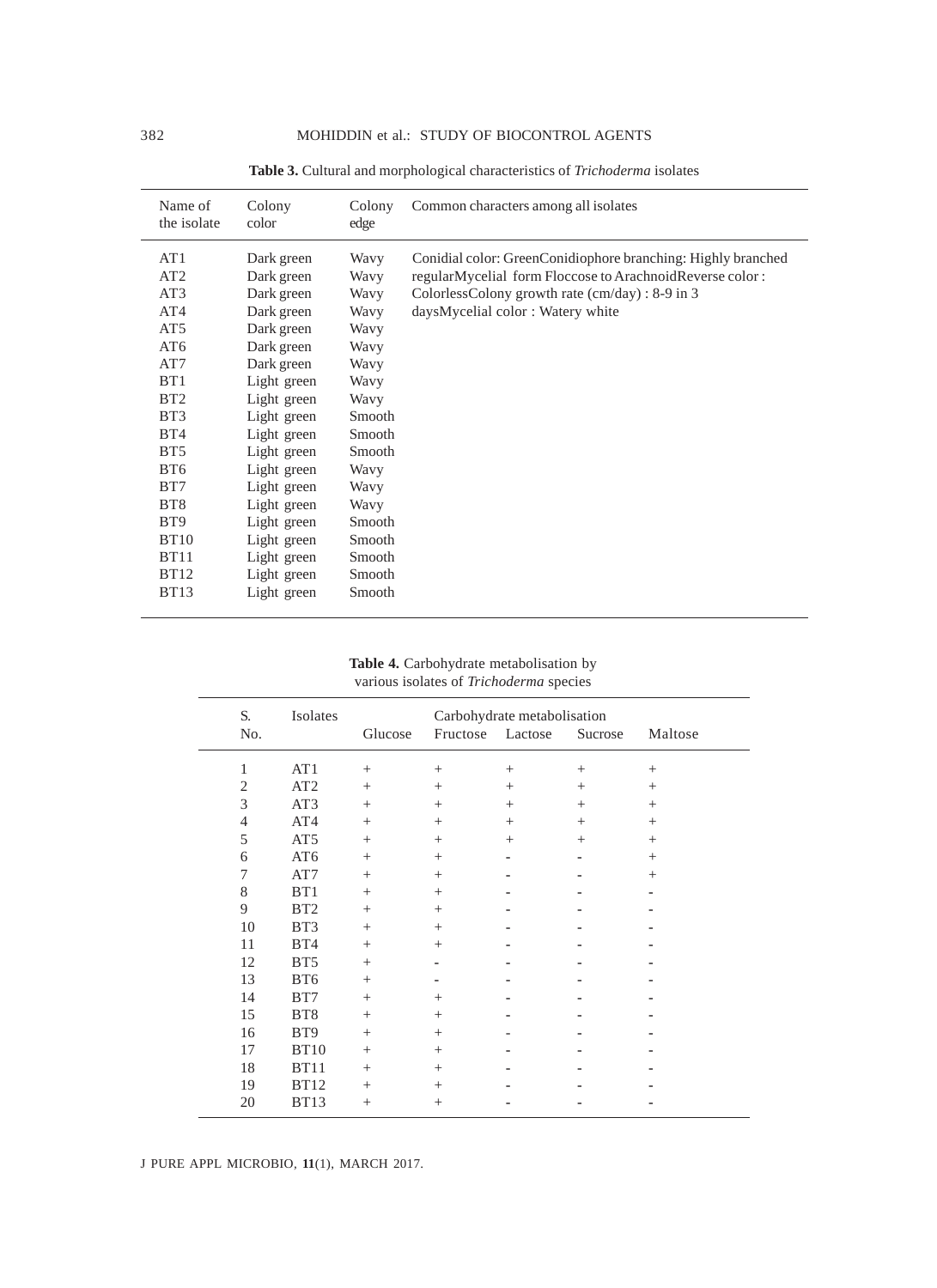| Name of<br>the isolate | Colony<br>color | Colony<br>edge | Common characters among all isolates                         |
|------------------------|-----------------|----------------|--------------------------------------------------------------|
| AT1                    | Dark green      | Wavy           | Conidial color: GreenConidiophore branching: Highly branched |
| AT <sub>2</sub>        | Dark green      | Wavy           | regularMycelial form Floccose to ArachnoidReverse color:     |
| AT3                    | Dark green      | Wavy           | ColorlessColony growth rate (cm/day) : 8-9 in 3              |
| AT <sub>4</sub>        | Dark green      | Wavy           | daysMycelial color: Watery white                             |
| AT <sub>5</sub>        | Dark green      | Wavy           |                                                              |
| AT <sub>6</sub>        | Dark green      | Wavy           |                                                              |
| AT7                    | Dark green      | Wavy           |                                                              |
| B <sub>T1</sub>        | Light green     | Wavy           |                                                              |
| BT <sub>2</sub>        | Light green     | Wavy           |                                                              |
| BT <sub>3</sub>        | Light green     | Smooth         |                                                              |
| BT4                    | Light green     | Smooth         |                                                              |
| BT <sub>5</sub>        | Light green     | Smooth         |                                                              |
| BT <sub>6</sub>        | Light green     | Wavy           |                                                              |
| BT7                    | Light green     | Wavy           |                                                              |
| BT <sub>8</sub>        | Light green     | Wavy           |                                                              |
| BT <sub>9</sub>        | Light green     | Smooth         |                                                              |
| <b>BT10</b>            | Light green     | Smooth         |                                                              |
| <b>BT11</b>            | Light green     | Smooth         |                                                              |
| <b>BT12</b>            | Light green     | Smooth         |                                                              |
| <b>BT13</b>            | Light green     | Smooth         |                                                              |

**Table 3.** Cultural and morphological characteristics of *Trichoderma* isolates

# **Table 4.** Carbohydrate metabolisation by various isolates of *Trichoderma* species

| S.             | Isolates        | Carbohydrate metabolisation |                  |                 |         |         |
|----------------|-----------------|-----------------------------|------------------|-----------------|---------|---------|
| No.            |                 | Glucose                     | Fructose Lactose |                 | Sucrose | Maltose |
| 1              | AT1             | $^{+}$                      | $^{+}$           | $\! + \!\!\!\!$ | $^{+}$  | $^{+}$  |
| $\mathfrak{2}$ | AT <sub>2</sub> | $^{+}$                      | $^{+}$           | $^{+}$          | $^{+}$  | $^{+}$  |
| 3              | AT3             | $^{+}$                      | $^{+}$           | $^{+}$          | $^{+}$  | $^{+}$  |
| $\overline{4}$ | AT4             | $^{+}$                      | $^{+}$           | $^{+}$          | $^{+}$  | $+$     |
| 5              | AT <sub>5</sub> | $^{+}$                      | $^{+}$           | $^{+}$          | $^{+}$  | $^{+}$  |
| 6              | AT6             | $^{+}$                      | $^{+}$           |                 |         | $+$     |
| 7              | AT7             | $^{+}$                      | $\! + \!\!\!\!$  |                 |         | $+$     |
| 8              | BT1             | $^{+}$                      | $^{+}$           |                 |         |         |
| 9              | BT <sub>2</sub> | $^{+}$                      | $^{+}$           |                 |         |         |
| 10             | BT3             | $^{+}$                      | $^{+}$           |                 |         |         |
| 11             | BT4             | $^{+}$                      | $^{+}$           |                 |         |         |
| 12             | BT5             | $^{+}$                      |                  |                 |         |         |
| 13             | BT6             | $^{+}$                      |                  |                 |         |         |
| 14             | BT7             | $^{+}$                      | $^{+}$           |                 |         |         |
| 15             | BT8             | $^{+}$                      | $^{+}$           |                 |         |         |
| 16             | BT <sub>9</sub> | $^{+}$                      | $^{+}$           |                 |         |         |
| 17             | <b>BT10</b>     | $^{+}$                      | $^{+}$           |                 |         |         |
| 18             | <b>BT11</b>     | $^{+}$                      | $^{+}$           |                 |         |         |
| 19             | <b>BT12</b>     | $^{+}$                      | $^{+}$           |                 |         |         |
| 20             | <b>BT13</b>     | $^{+}$                      | $^{+}$           |                 |         |         |

J PURE APPL MICROBIO*,* **11**(1), MARCH 2017.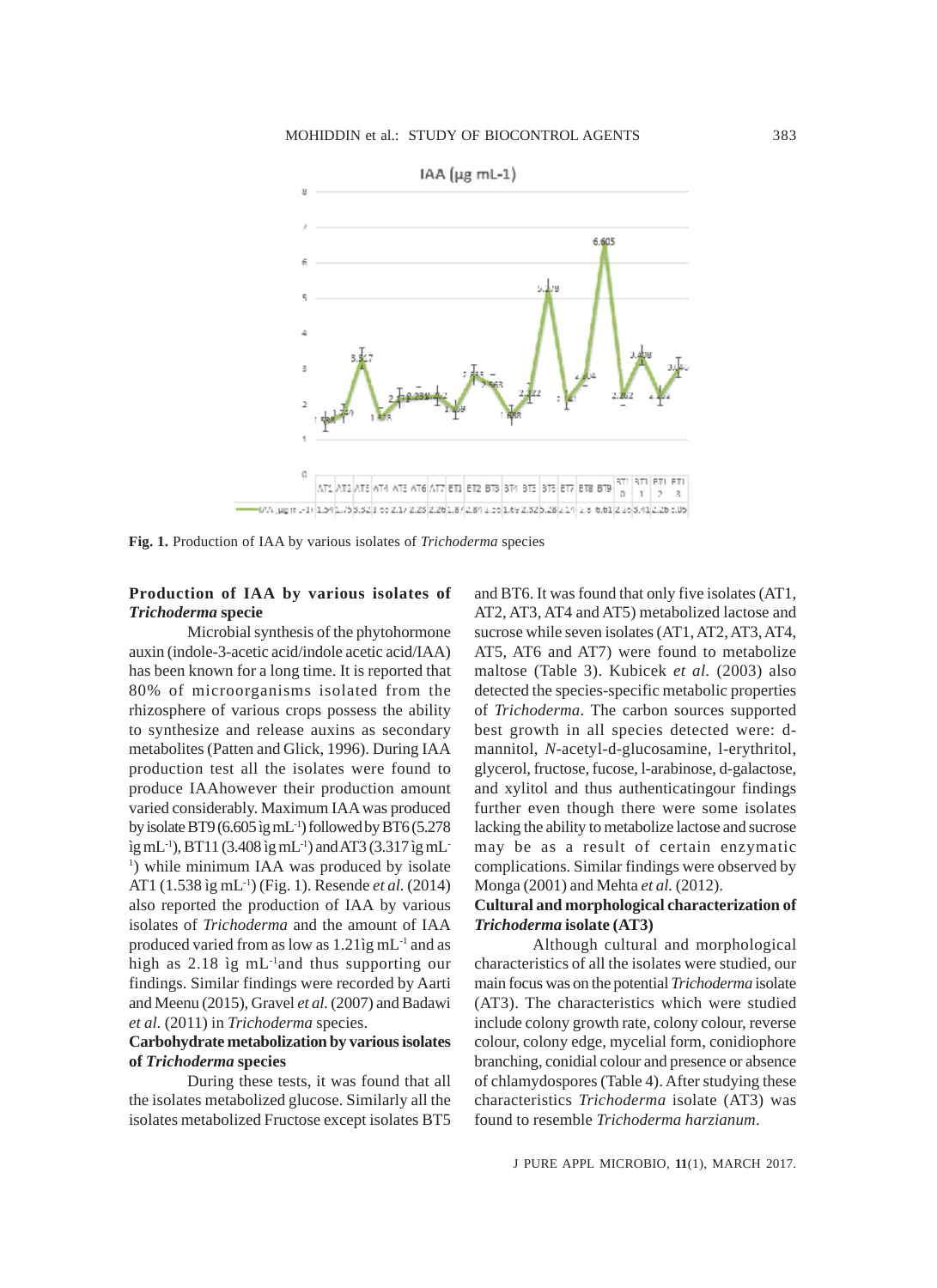

**Fig. 1.** Production of IAA by various isolates of *Trichoderma* species

# **Production of IAA by various isolates of** *Trichoderma* **specie**

Microbial synthesis of the phytohormone auxin (indole-3-acetic acid/indole acetic acid/IAA) has been known for a long time. It is reported that 80% of microorganisms isolated from the rhizosphere of various crops possess the ability to synthesize and release auxins as secondary metabolites (Patten and Glick, 1996). During IAA production test all the isolates were found to produce IAAhowever their production amount varied considerably. Maximum IAA was produced by isolate BT9 (6.605 ìg mL<sup>-1</sup>) followed by BT6 (5.278) ìg mL-1), BT11 (3.408 ìg mL-1) and AT3 (3.317 ìg mL-<sup>1</sup>) while minimum IAA was produced by isolate AT1 (1.538 ìg mL-1) (Fig. 1). Resende *et al.* (2014) also reported the production of IAA by various isolates of *Trichoderma* and the amount of IAA produced varied from as low as 1.21ìg mL-1 and as high as 2.18 ìg mL<sup>-1</sup>and thus supporting our findings. Similar findings were recorded by Aarti and Meenu (2015), Gravel *et al.* (2007) and Badawi *et al.* (2011) in *Trichoderma* species.

## **Carbohydrate metabolization by various isolates of** *Trichoderma* **species**

During these tests, it was found that all the isolates metabolized glucose. Similarly all the isolates metabolized Fructose except isolates BT5 and BT6. It was found that only five isolates (AT1, AT2, AT3, AT4 and AT5) metabolized lactose and sucrose while seven isolates (AT1, AT2, AT3, AT4, AT5, AT6 and AT7) were found to metabolize maltose (Table 3). Kubicek *et al.* (2003) also detected the species-specific metabolic properties of *Trichoderma*. The carbon sources supported best growth in all species detected were: dmannitol, *N*-acetyl-d-glucosamine, l-erythritol, glycerol, fructose, fucose, l-arabinose, d-galactose, and xylitol and thus authenticatingour findings further even though there were some isolates lacking the ability to metabolize lactose and sucrose may be as a result of certain enzymatic complications. Similar findings were observed by Monga (2001) and Mehta *et al.* (2012).

### **Cultural and morphological characterization of** *Trichoderma* **isolate (AT3)**

Although cultural and morphological characteristics of all the isolates were studied, our main focus was on the potential *Trichoderma* isolate (AT3). The characteristics which were studied include colony growth rate, colony colour, reverse colour, colony edge, mycelial form, conidiophore branching, conidial colour and presence or absence of chlamydospores (Table 4). After studying these characteristics *Trichoderma* isolate (AT3) was found to resemble *Trichoderma harzianum*.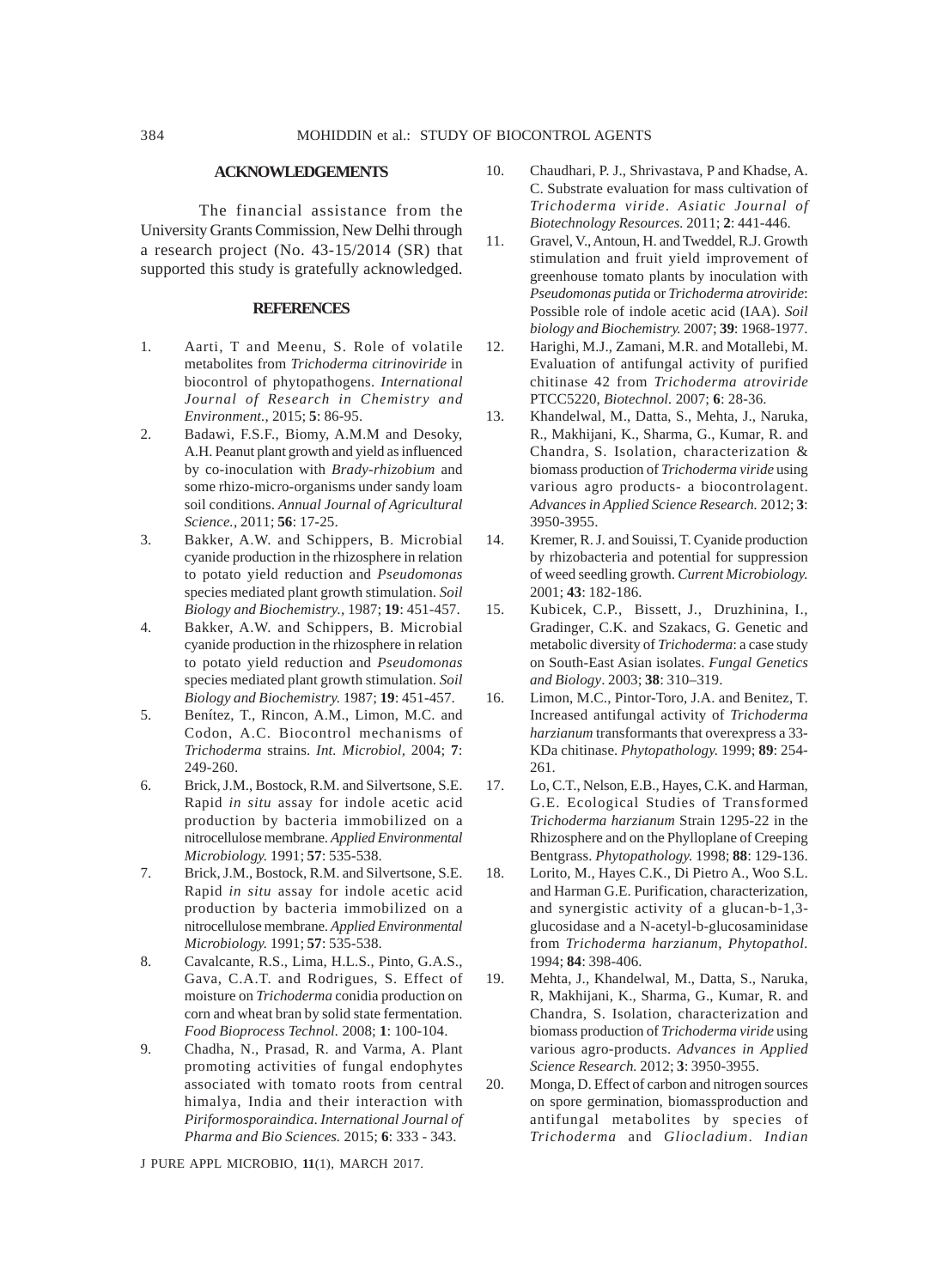#### **ACKNOWLEDGEMENTS**

The financial assistance from the University Grants Commission, New Delhi through a research project (No. 43-15/2014 (SR) that supported this study is gratefully acknowledged.

### **REFERENCES**

- 1. Aarti, T and Meenu, S. Role of volatile metabolites from *Trichoderma citrinoviride* in biocontrol of phytopathogens. *International Journal of Research in Chemistry and Environment.,* 2015; **5**: 86-95.
- 2. Badawi, F.S.F., Biomy, A.M.M and Desoky, A.H. Peanut plant growth and yield as influenced by co-inoculation with *Brady-rhizobium* and some rhizo-micro-organisms under sandy loam soil conditions. *Annual Journal of Agricultural Science.,* 2011; **56**: 17-25.
- 3. Bakker, A.W. and Schippers, B. Microbial cyanide production in the rhizosphere in relation to potato yield reduction and *Pseudomonas* species mediated plant growth stimulation. *Soil Biology and Biochemistry.,* 1987; **19**: 451-457.
- 4. Bakker, A.W. and Schippers, B. Microbial cyanide production in the rhizosphere in relation to potato yield reduction and *Pseudomonas* species mediated plant growth stimulation. *Soil Biology and Biochemistry.* 1987; **19**: 451-457.
- 5. Benítez, T., Rincon, A.M., Limon, M.C. and Codon, A.C. Biocontrol mechanisms of *Trichoderma* strains. *Int. Microbiol,* 2004; **7**: 249-260.
- 6. Brick, J.M., Bostock, R.M. and Silvertsone, S.E. Rapid *in situ* assay for indole acetic acid production by bacteria immobilized on a nitrocellulose membrane. *Applied Environmental Microbiology.* 1991; **57**: 535-538.
- 7. Brick, J.M., Bostock, R.M. and Silvertsone, S.E. Rapid *in situ* assay for indole acetic acid production by bacteria immobilized on a nitrocellulose membrane. *Applied Environmental Microbiology.* 1991; **57**: 535-538.
- 8. Cavalcante, R.S., Lima, H.L.S., Pinto, G.A.S., Gava, C.A.T. and Rodrigues, S. Effect of moisture on *Trichoderma* conidia production on corn and wheat bran by solid state fermentation. *Food Bioprocess Technol.* 2008; **1**: 100-104.
- 9. Chadha, N., Prasad, R. and Varma, A. Plant promoting activities of fungal endophytes associated with tomato roots from central himalya, India and their interaction with *Piriformosporaindica*. *International Journal of Pharma and Bio Sciences.* 2015; **6**: 333 - 343.

J PURE APPL MICROBIO*,* **11**(1), MARCH 2017.

- 10. Chaudhari, P. J., Shrivastava, P and Khadse, A. C. Substrate evaluation for mass cultivation of *Trichoderma viride*. *Asiatic Journal of Biotechnology Resources.* 2011; **2**: 441-446.
- 11. Gravel, V., Antoun, H. and Tweddel, R.J. Growth stimulation and fruit yield improvement of greenhouse tomato plants by inoculation with *Pseudomonas putida* or *Trichoderma atroviride*: Possible role of indole acetic acid (IAA). *Soil biology and Biochemistry.* 2007; **39**: 1968-1977.
- 12. Harighi, M.J., Zamani, M.R. and Motallebi, M. Evaluation of antifungal activity of purified chitinase 42 from *Trichoderma atroviride* PTCC5220, *Biotechnol.* 2007; **6**: 28-36.
- 13. Khandelwal, M., Datta, S., Mehta, J., Naruka, R., Makhijani, K., Sharma, G., Kumar, R. and Chandra, S. Isolation, characterization & biomass production of *Trichoderma viride* using various agro products- a biocontrolagent. *Advances in Applied Science Research.* 2012; **3**: 3950-3955.
- 14. Kremer, R. J. and Souissi, T. Cyanide production by rhizobacteria and potential for suppression of weed seedling growth. *Current Microbiology.* 2001; **43**: 182-186.
- 15. Kubicek, C.P., Bissett, J., Druzhinina, I., Gradinger, C.K. and Szakacs, G. Genetic and metabolic diversity of *Trichoderma*: a case study on South-East Asian isolates. *Fungal Genetics and Biology*. 2003; **38**: 310–319.
- 16. Limon, M.C., Pintor-Toro, J.A. and Benitez, T. Increased antifungal activity of *Trichoderma harzianum* transformants that overexpress a 33- KDa chitinase. *Phytopathology.* 1999; **89**: 254- 261.
- 17. Lo, C.T., Nelson, E.B., Hayes, C.K. and Harman, G.E. Ecological Studies of Transformed *Trichoderma harzianum* Strain 1295-22 in the Rhizosphere and on the Phylloplane of Creeping Bentgrass. *Phytopathology.* 1998; **88**: 129-136.
- 18. Lorito, M., Hayes C.K., Di Pietro A., Woo S.L. and Harman G.E. Purification, characterization, and synergistic activity of a glucan-b-1,3 glucosidase and a N-acetyl-b-glucosaminidase from *Trichoderma harzianum*, *Phytopathol.* 1994; **84**: 398-406.
- 19. Mehta, J., Khandelwal, M., Datta, S., Naruka, R, Makhijani, K., Sharma, G., Kumar, R. and Chandra, S. Isolation, characterization and biomass production of *Trichoderma viride* using various agro-products. *Advances in Applied Science Research.* 2012; **3**: 3950-3955.
- 20. Monga, D. Effect of carbon and nitrogen sources on spore germination, biomassproduction and antifungal metabolites by species of *Trichoderma* and *Gliocladium*. *Indian*